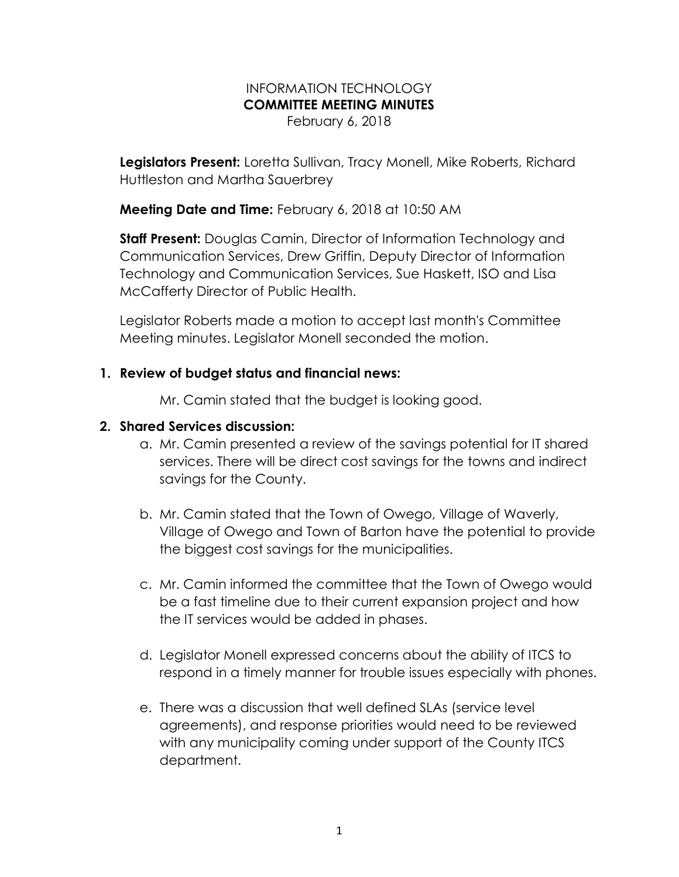#### INFORMATION TECHNOLOGY COMMITTEE MEETING MINUTES February 6, 2018

Legislators Present: Loretta Sullivan, Tracy Monell, Mike Roberts, Richard Huttleston and Martha Sauerbrey

**Meeting Date and Time:** February 6, 2018 at 10:50 AM

**Staff Present:** Douglas Camin, Director of Information Technology and Communication Services, Drew Griffin, Deputy Director of Information Technology and Communication Services, Sue Haskett, ISO and Lisa McCafferty Director of Public Health.

Legislator Roberts made a motion to accept last month's Committee Meeting minutes. Legislator Monell seconded the motion.

### 1. Review of budget status and financial news:

Mr. Camin stated that the budget is looking good.

### 2. Shared Services discussion:

- a. Mr. Camin presented a review of the savings potential for IT shared services. There will be direct cost savings for the towns and indirect savings for the County.
- b. Mr. Camin stated that the Town of Owego, Village of Waverly, Village of Owego and Town of Barton have the potential to provide the biggest cost savings for the municipalities.
- c. Mr. Camin informed the committee that the Town of Owego would be a fast timeline due to their current expansion project and how the IT services would be added in phases.
- d. Legislator Monell expressed concerns about the ability of ITCS to respond in a timely manner for trouble issues especially with phones.
- e. There was a discussion that well defined SLAs (service level agreements), and response priorities would need to be reviewed with any municipality coming under support of the County ITCS department.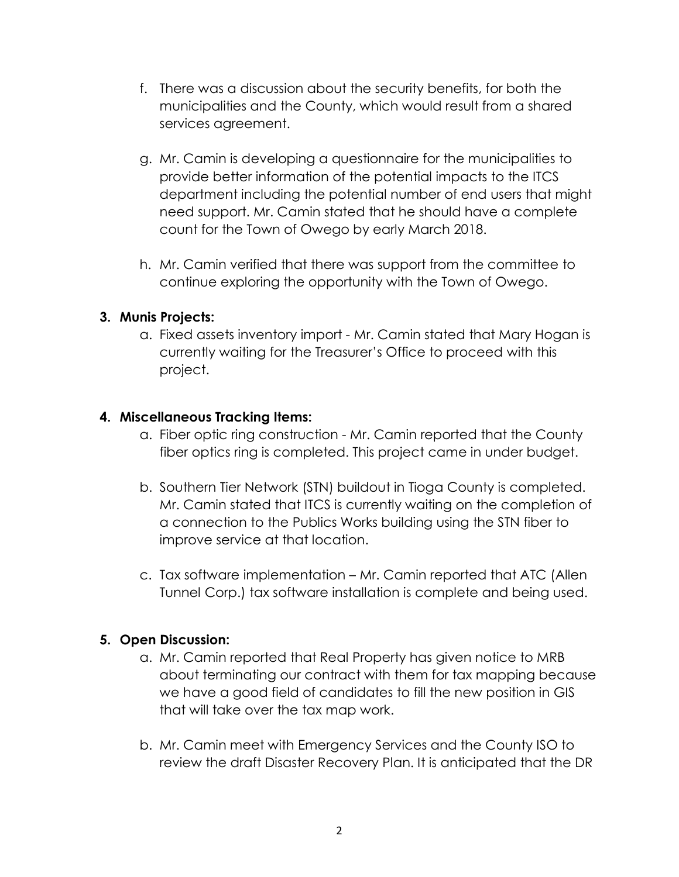- f. There was a discussion about the security benefits, for both the municipalities and the County, which would result from a shared services agreement.
- g. Mr. Camin is developing a questionnaire for the municipalities to provide better information of the potential impacts to the ITCS department including the potential number of end users that might need support. Mr. Camin stated that he should have a complete count for the Town of Owego by early March 2018.
- h. Mr. Camin verified that there was support from the committee to continue exploring the opportunity with the Town of Owego.

# 3. Munis Projects:

a. Fixed assets inventory import - Mr. Camin stated that Mary Hogan is currently waiting for the Treasurer's Office to proceed with this project.

### 4. Miscellaneous Tracking Items:

- a. Fiber optic ring construction Mr. Camin reported that the County fiber optics ring is completed. This project came in under budget.
- b. Southern Tier Network (STN) buildout in Tioga County is completed. Mr. Camin stated that ITCS is currently waiting on the completion of a connection to the Publics Works building using the STN fiber to improve service at that location.
- c. Tax software implementation Mr. Camin reported that ATC (Allen Tunnel Corp.) tax software installation is complete and being used.

# 5. Open Discussion:

- a. Mr. Camin reported that Real Property has given notice to MRB about terminating our contract with them for tax mapping because we have a good field of candidates to fill the new position in GIS that will take over the tax map work.
- b. Mr. Camin meet with Emergency Services and the County ISO to review the draft Disaster Recovery Plan. It is anticipated that the DR